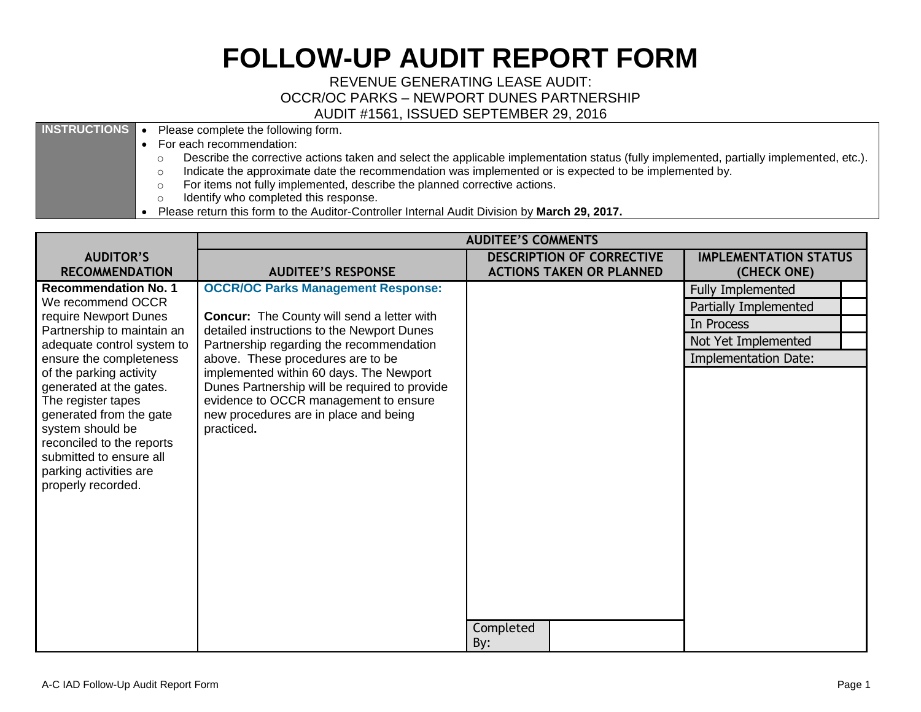## **FOLLOW-UP AUDIT REPORT FORM**

REVENUE GENERATING LEASE AUDIT: OCCR/OC PARKS – NEWPORT DUNES PARTNERSHIP AUDIT #1561, ISSUED SEPTEMBER 29, 2016

**INSTRUCTIONS** • Please complete the following form.

- For each recommendation:
	- $\circ$  Describe the corrective actions taken and select the applicable implementation status (fully implemented, partially implemented, etc.).
	- o Indicate the approximate date the recommendation was implemented or is expected to be implemented by.
	- o For items not fully implemented, describe the planned corrective actions.
	- o Identify who completed this response.
- Please return this form to the Auditor-Controller Internal Audit Division by **March 29, 2017.**

|                                                                                                                                                                                                                                 | <b>AUDITEE'S COMMENTS</b>                                                                                                                                                                |                                                                     |                                             |
|---------------------------------------------------------------------------------------------------------------------------------------------------------------------------------------------------------------------------------|------------------------------------------------------------------------------------------------------------------------------------------------------------------------------------------|---------------------------------------------------------------------|---------------------------------------------|
| <b>AUDITOR'S</b><br><b>RECOMMENDATION</b>                                                                                                                                                                                       | <b>AUDITEE'S RESPONSE</b>                                                                                                                                                                | <b>DESCRIPTION OF CORRECTIVE</b><br><b>ACTIONS TAKEN OR PLANNED</b> | <b>IMPLEMENTATION STATUS</b><br>(CHECK ONE) |
| <b>Recommendation No. 1</b>                                                                                                                                                                                                     | <b>OCCR/OC Parks Management Response:</b>                                                                                                                                                |                                                                     | <b>Fully Implemented</b>                    |
| We recommend OCCR                                                                                                                                                                                                               |                                                                                                                                                                                          |                                                                     | Partially Implemented                       |
| require Newport Dunes<br>Partnership to maintain an                                                                                                                                                                             | <b>Concur:</b> The County will send a letter with<br>detailed instructions to the Newport Dunes                                                                                          |                                                                     | In Process                                  |
| adequate control system to                                                                                                                                                                                                      | Partnership regarding the recommendation                                                                                                                                                 |                                                                     | Not Yet Implemented                         |
| ensure the completeness                                                                                                                                                                                                         | above. These procedures are to be                                                                                                                                                        |                                                                     | <b>Implementation Date:</b>                 |
| of the parking activity<br>generated at the gates.<br>The register tapes<br>generated from the gate<br>system should be<br>reconciled to the reports<br>submitted to ensure all<br>parking activities are<br>properly recorded. | implemented within 60 days. The Newport<br>Dunes Partnership will be required to provide<br>evidence to OCCR management to ensure<br>new procedures are in place and being<br>practiced. | Completed<br>By:                                                    |                                             |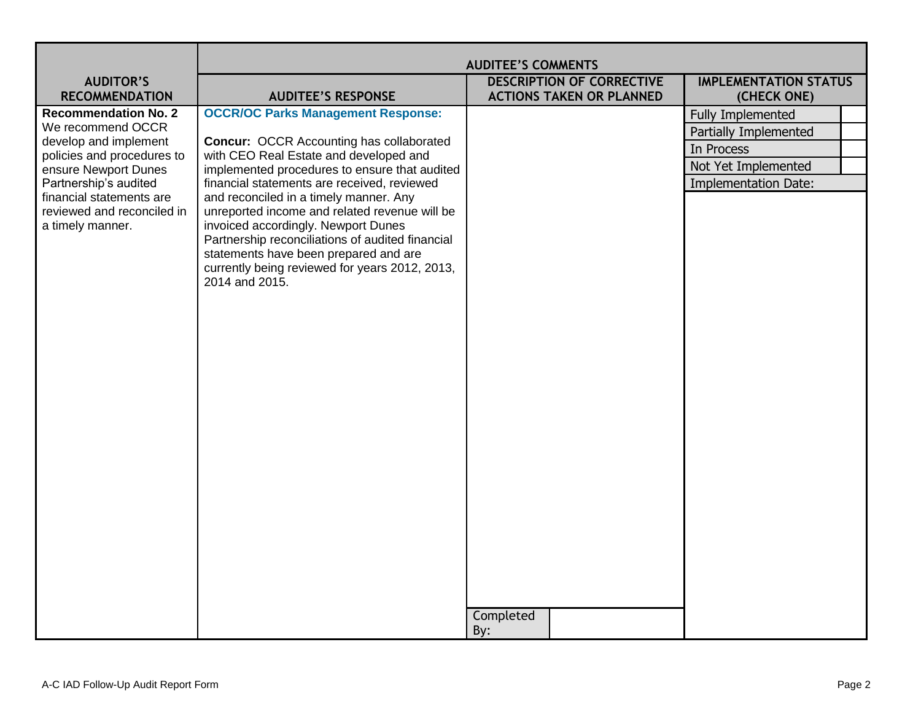|                                                     | <b>AUDITEE'S COMMENTS</b>                                                                 |                                  |                              |
|-----------------------------------------------------|-------------------------------------------------------------------------------------------|----------------------------------|------------------------------|
| <b>AUDITOR'S</b>                                    |                                                                                           | <b>DESCRIPTION OF CORRECTIVE</b> | <b>IMPLEMENTATION STATUS</b> |
| <b>RECOMMENDATION</b>                               | <b>AUDITEE'S RESPONSE</b>                                                                 | <b>ACTIONS TAKEN OR PLANNED</b>  | (CHECK ONE)                  |
| <b>Recommendation No. 2</b>                         | <b>OCCR/OC Parks Management Response:</b>                                                 |                                  | <b>Fully Implemented</b>     |
| We recommend OCCR                                   |                                                                                           |                                  | Partially Implemented        |
| develop and implement<br>policies and procedures to | <b>Concur: OCCR Accounting has collaborated</b><br>with CEO Real Estate and developed and |                                  | In Process                   |
| ensure Newport Dunes                                | implemented procedures to ensure that audited                                             |                                  | Not Yet Implemented          |
| Partnership's audited                               | financial statements are received, reviewed                                               |                                  | <b>Implementation Date:</b>  |
| financial statements are                            | and reconciled in a timely manner. Any                                                    |                                  |                              |
| reviewed and reconciled in<br>a timely manner.      | unreported income and related revenue will be<br>invoiced accordingly. Newport Dunes      |                                  |                              |
|                                                     | Partnership reconciliations of audited financial                                          |                                  |                              |
|                                                     | statements have been prepared and are                                                     |                                  |                              |
|                                                     | currently being reviewed for years 2012, 2013,                                            |                                  |                              |
|                                                     | 2014 and 2015.                                                                            |                                  |                              |
|                                                     |                                                                                           |                                  |                              |
|                                                     |                                                                                           |                                  |                              |
|                                                     |                                                                                           |                                  |                              |
|                                                     |                                                                                           |                                  |                              |
|                                                     |                                                                                           |                                  |                              |
|                                                     |                                                                                           |                                  |                              |
|                                                     |                                                                                           |                                  |                              |
|                                                     |                                                                                           |                                  |                              |
|                                                     |                                                                                           |                                  |                              |
|                                                     |                                                                                           |                                  |                              |
|                                                     |                                                                                           |                                  |                              |
|                                                     |                                                                                           |                                  |                              |
|                                                     |                                                                                           |                                  |                              |
|                                                     |                                                                                           |                                  |                              |
|                                                     |                                                                                           |                                  |                              |
|                                                     |                                                                                           |                                  |                              |
|                                                     |                                                                                           |                                  |                              |
|                                                     |                                                                                           |                                  |                              |
|                                                     |                                                                                           | Completed                        |                              |
|                                                     |                                                                                           | By:                              |                              |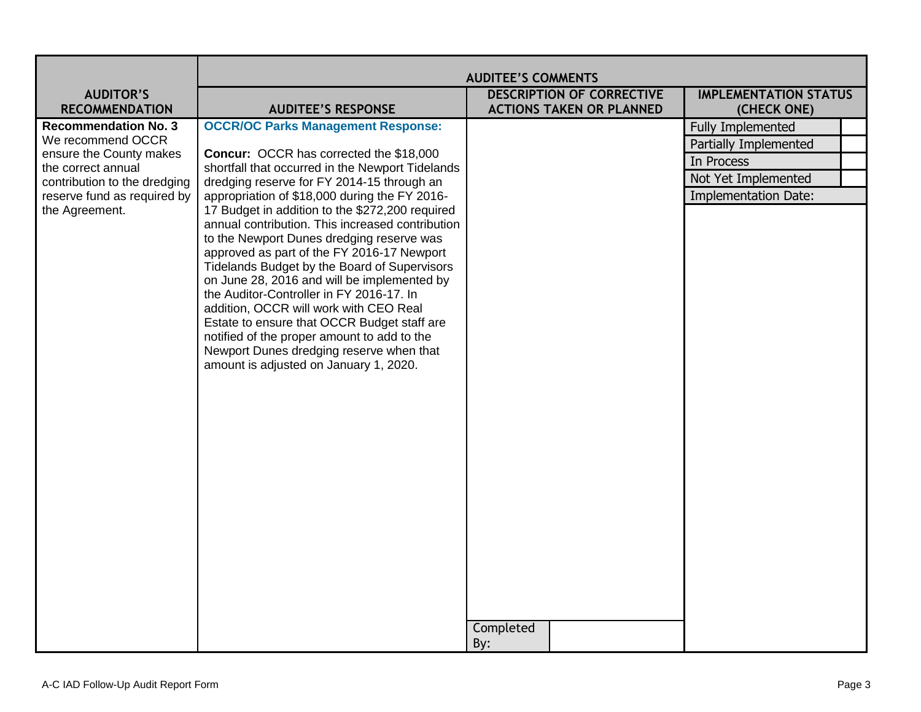|                                                    | <b>AUDITEE'S COMMENTS</b>                                                                      |                                 |                              |
|----------------------------------------------------|------------------------------------------------------------------------------------------------|---------------------------------|------------------------------|
| <b>AUDITOR'S</b>                                   |                                                                                                | DESCRIPTION OF CORRECTIVE       | <b>IMPLEMENTATION STATUS</b> |
| <b>RECOMMENDATION</b>                              | <b>AUDITEE'S RESPONSE</b>                                                                      | <b>ACTIONS TAKEN OR PLANNED</b> | (CHECK ONE)                  |
| <b>Recommendation No. 3</b>                        | <b>OCCR/OC Parks Management Response:</b>                                                      |                                 | <b>Fully Implemented</b>     |
| We recommend OCCR                                  |                                                                                                |                                 | Partially Implemented        |
| ensure the County makes                            | Concur: OCCR has corrected the \$18,000                                                        |                                 | In Process                   |
| the correct annual<br>contribution to the dredging | shortfall that occurred in the Newport Tidelands<br>dredging reserve for FY 2014-15 through an |                                 | Not Yet Implemented          |
| reserve fund as required by                        | appropriation of \$18,000 during the FY 2016-                                                  |                                 | Implementation Date:         |
| the Agreement.                                     | 17 Budget in addition to the \$272,200 required                                                |                                 |                              |
|                                                    | annual contribution. This increased contribution                                               |                                 |                              |
|                                                    | to the Newport Dunes dredging reserve was                                                      |                                 |                              |
|                                                    | approved as part of the FY 2016-17 Newport<br>Tidelands Budget by the Board of Supervisors     |                                 |                              |
|                                                    | on June 28, 2016 and will be implemented by                                                    |                                 |                              |
|                                                    | the Auditor-Controller in FY 2016-17. In                                                       |                                 |                              |
|                                                    | addition, OCCR will work with CEO Real                                                         |                                 |                              |
|                                                    | Estate to ensure that OCCR Budget staff are                                                    |                                 |                              |
|                                                    | notified of the proper amount to add to the                                                    |                                 |                              |
|                                                    | Newport Dunes dredging reserve when that<br>amount is adjusted on January 1, 2020.             |                                 |                              |
|                                                    |                                                                                                |                                 |                              |
|                                                    |                                                                                                |                                 |                              |
|                                                    |                                                                                                |                                 |                              |
|                                                    |                                                                                                |                                 |                              |
|                                                    |                                                                                                |                                 |                              |
|                                                    |                                                                                                |                                 |                              |
|                                                    |                                                                                                |                                 |                              |
|                                                    |                                                                                                |                                 |                              |
|                                                    |                                                                                                |                                 |                              |
|                                                    |                                                                                                |                                 |                              |
|                                                    |                                                                                                |                                 |                              |
|                                                    |                                                                                                |                                 |                              |
|                                                    |                                                                                                |                                 |                              |
|                                                    |                                                                                                |                                 |                              |
|                                                    |                                                                                                |                                 |                              |
|                                                    |                                                                                                | Completed                       |                              |
|                                                    |                                                                                                | By:                             |                              |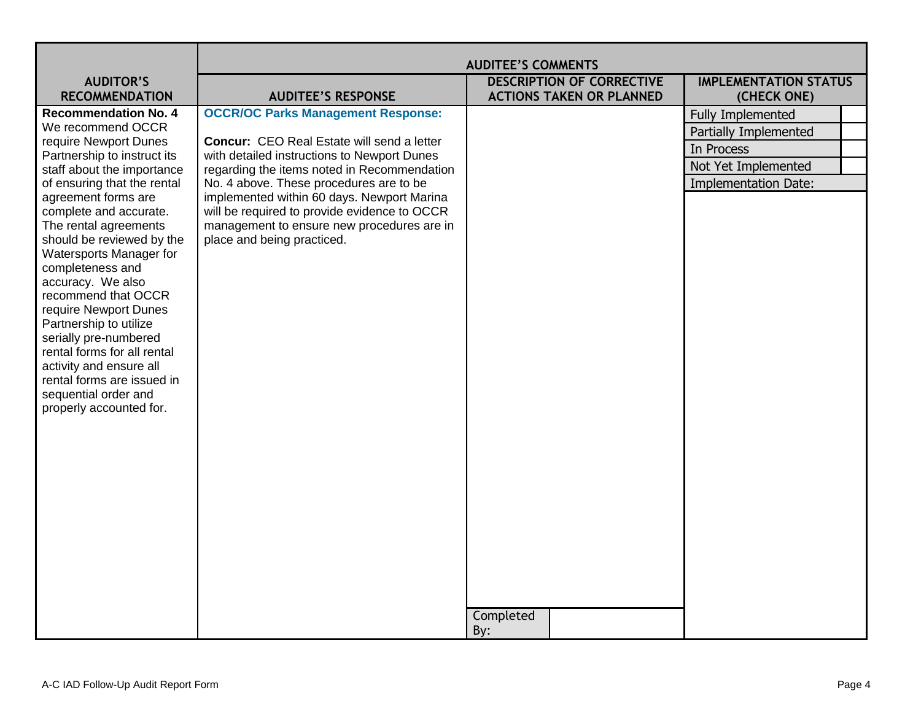|                                                      | <b>AUDITEE'S COMMENTS</b>                                                                        |                                  |                              |
|------------------------------------------------------|--------------------------------------------------------------------------------------------------|----------------------------------|------------------------------|
| <b>AUDITOR'S</b>                                     |                                                                                                  | <b>DESCRIPTION OF CORRECTIVE</b> | <b>IMPLEMENTATION STATUS</b> |
| <b>RECOMMENDATION</b>                                | <b>AUDITEE'S RESPONSE</b>                                                                        | <b>ACTIONS TAKEN OR PLANNED</b>  | (CHECK ONE)                  |
| <b>Recommendation No. 4</b>                          | <b>OCCR/OC Parks Management Response:</b>                                                        |                                  | <b>Fully Implemented</b>     |
| We recommend OCCR                                    |                                                                                                  |                                  | Partially Implemented        |
| require Newport Dunes<br>Partnership to instruct its | <b>Concur:</b> CEO Real Estate will send a letter<br>with detailed instructions to Newport Dunes |                                  | In Process                   |
| staff about the importance                           | regarding the items noted in Recommendation                                                      |                                  | Not Yet Implemented          |
| of ensuring that the rental                          | No. 4 above. These procedures are to be                                                          |                                  | <b>Implementation Date:</b>  |
| agreement forms are                                  | implemented within 60 days. Newport Marina                                                       |                                  |                              |
| complete and accurate.                               | will be required to provide evidence to OCCR                                                     |                                  |                              |
| The rental agreements                                | management to ensure new procedures are in                                                       |                                  |                              |
| should be reviewed by the<br>Watersports Manager for | place and being practiced.                                                                       |                                  |                              |
| completeness and                                     |                                                                                                  |                                  |                              |
| accuracy. We also                                    |                                                                                                  |                                  |                              |
| recommend that OCCR                                  |                                                                                                  |                                  |                              |
| require Newport Dunes                                |                                                                                                  |                                  |                              |
| Partnership to utilize<br>serially pre-numbered      |                                                                                                  |                                  |                              |
| rental forms for all rental                          |                                                                                                  |                                  |                              |
| activity and ensure all                              |                                                                                                  |                                  |                              |
| rental forms are issued in                           |                                                                                                  |                                  |                              |
| sequential order and                                 |                                                                                                  |                                  |                              |
| properly accounted for.                              |                                                                                                  |                                  |                              |
|                                                      |                                                                                                  |                                  |                              |
|                                                      |                                                                                                  |                                  |                              |
|                                                      |                                                                                                  |                                  |                              |
|                                                      |                                                                                                  |                                  |                              |
|                                                      |                                                                                                  |                                  |                              |
|                                                      |                                                                                                  |                                  |                              |
|                                                      |                                                                                                  |                                  |                              |
|                                                      |                                                                                                  |                                  |                              |
|                                                      |                                                                                                  |                                  |                              |
|                                                      |                                                                                                  |                                  |                              |
|                                                      |                                                                                                  |                                  |                              |
|                                                      |                                                                                                  | Completed                        |                              |
|                                                      |                                                                                                  | By:                              |                              |